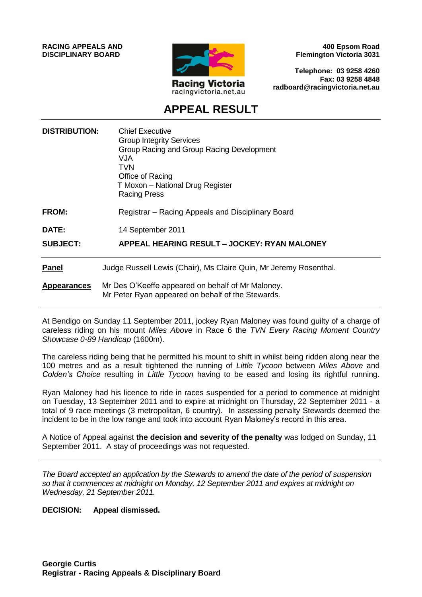**RACING APPEALS AND DISCIPLINARY BOARD**



**400 Epsom Road Flemington Victoria 3031**

**Telephone: 03 9258 4260 Fax: 03 9258 4848 radboard@racingvictoria.net.au**

## **APPEAL RESULT**

| <b>DISTRIBUTION:</b> | <b>Chief Executive</b><br><b>Group Integrity Services</b><br>Group Racing and Group Racing Development<br><b>VJA</b><br><b>TVN</b><br>Office of Racing<br>T Moxon - National Drug Register<br><b>Racing Press</b> |
|----------------------|-------------------------------------------------------------------------------------------------------------------------------------------------------------------------------------------------------------------|
| FROM:                | Registrar - Racing Appeals and Disciplinary Board                                                                                                                                                                 |
| DATE:                | 14 September 2011                                                                                                                                                                                                 |
| <b>SUBJECT:</b>      | APPEAL HEARING RESULT - JOCKEY: RYAN MALONEY                                                                                                                                                                      |
| <b>Panel</b>         | Judge Russell Lewis (Chair), Ms Claire Quin, Mr Jeremy Rosenthal.                                                                                                                                                 |
| <b>Appearances</b>   | Mr Des O'Keeffe appeared on behalf of Mr Maloney.<br>Mr Peter Ryan appeared on behalf of the Stewards.                                                                                                            |

At Bendigo on Sunday 11 September 2011, jockey Ryan Maloney was found guilty of a charge of careless riding on his mount *Miles Above* in Race 6 the *TVN Every Racing Moment Country Showcase 0-89 Handicap* (1600m).

The careless riding being that he permitted his mount to shift in whilst being ridden along near the 100 metres and as a result tightened the running of *Little Tycoon* between *Miles Above* and *Colden's Choice* resulting in *Little Tycoon* having to be eased and losing its rightful running.

Ryan Maloney had his licence to ride in races suspended for a period to commence at midnight on Tuesday, 13 September 2011 and to expire at midnight on Thursday, 22 September 2011 - a total of 9 race meetings (3 metropolitan, 6 country). In assessing penalty Stewards deemed the incident to be in the low range and took into account Ryan Maloney's record in this area.

A Notice of Appeal against **the decision and severity of the penalty** was lodged on Sunday, 11 September 2011. A stay of proceedings was not requested.

*The Board accepted an application by the Stewards to amend the date of the period of suspension so that it commences at midnight on Monday, 12 September 2011 and expires at midnight on Wednesday, 21 September 2011.*

#### **DECISION: Appeal dismissed.**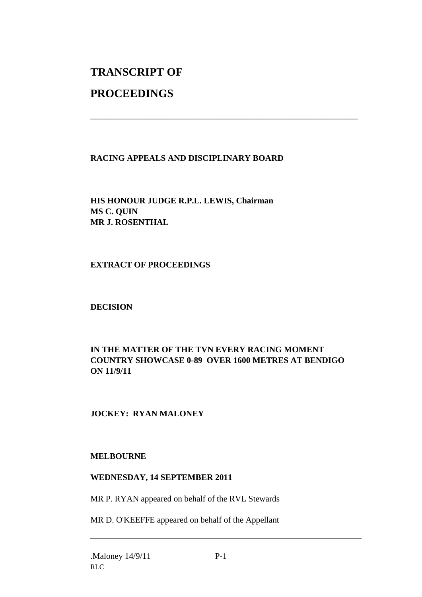# **TRANSCRIPT OF**

## **PROCEEDINGS**

#### **RACING APPEALS AND DISCIPLINARY BOARD**

\_\_\_\_\_\_\_\_\_\_\_\_\_\_\_\_\_\_\_\_\_\_\_\_\_\_\_\_\_\_\_\_\_\_\_\_\_\_\_\_\_\_\_\_\_\_\_\_\_\_\_\_\_\_\_\_\_\_\_\_\_\_\_

**HIS HONOUR JUDGE R.P.L. LEWIS, Chairman MS C. QUIN MR J. ROSENTHAL**

**EXTRACT OF PROCEEDINGS**

### **DECISION**

#### **IN THE MATTER OF THE TVN EVERY RACING MOMENT COUNTRY SHOWCASE 0-89 OVER 1600 METRES AT BENDIGO ON 11/9/11**

### **JOCKEY: RYAN MALONEY**

#### **MELBOURNE**

#### **WEDNESDAY, 14 SEPTEMBER 2011**

MR P. RYAN appeared on behalf of the RVL Stewards

MR D. O'KEEFFE appeared on behalf of the Appellant